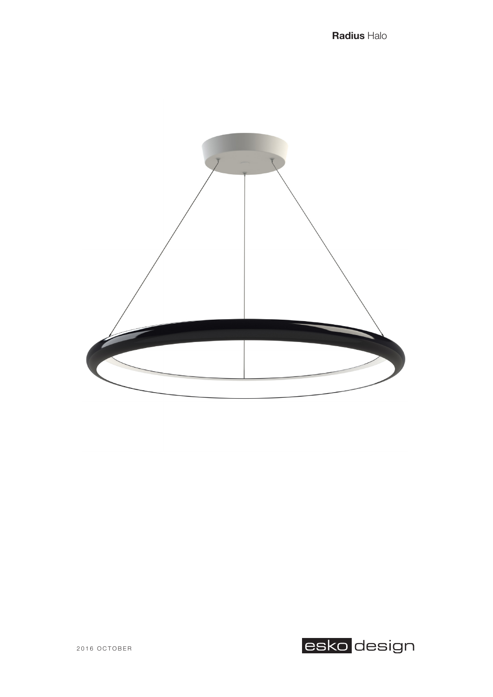